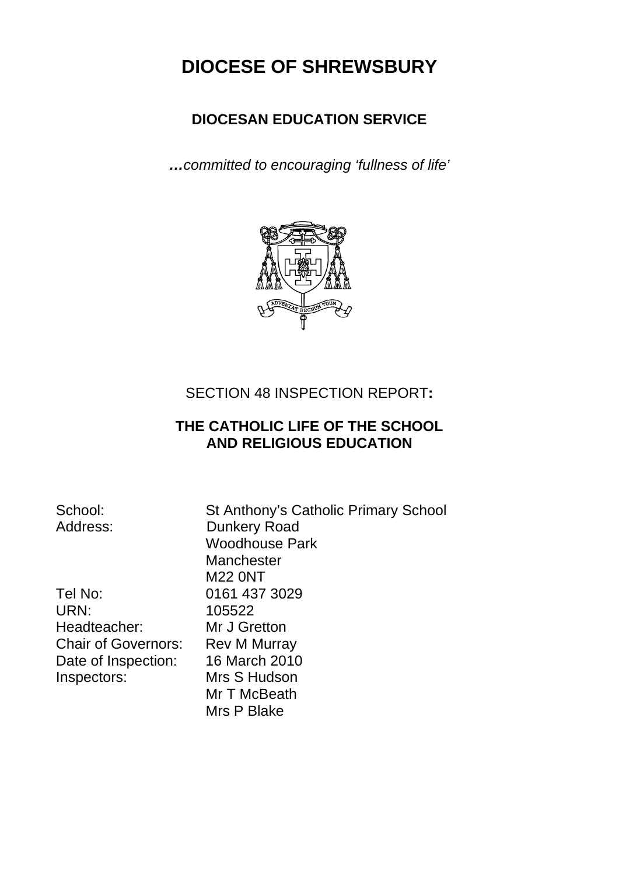# **DIOCESE OF SHREWSBURY**

# **DIOCESAN EDUCATION SERVICE**

*…committed to encouraging 'fullness of life'* 



## SECTION 48 INSPECTION REPORT**:**

# **THE CATHOLIC LIFE OF THE SCHOOL AND RELIGIOUS EDUCATION**

| School:                    | St Anthony's Catholic Primary School |
|----------------------------|--------------------------------------|
| Address:                   | <b>Dunkery Road</b>                  |
|                            | <b>Woodhouse Park</b>                |
|                            | Manchester                           |
|                            | <b>M22 0NT</b>                       |
| Tel No:                    | 0161 437 3029                        |
| URN:                       | 105522                               |
| Headteacher:               | Mr J Gretton                         |
| <b>Chair of Governors:</b> | <b>Rev M Murray</b>                  |
| Date of Inspection:        | 16 March 2010                        |
| Inspectors:                | Mrs S Hudson                         |
|                            | Mr T McBeath                         |
|                            | Mrs P Blake                          |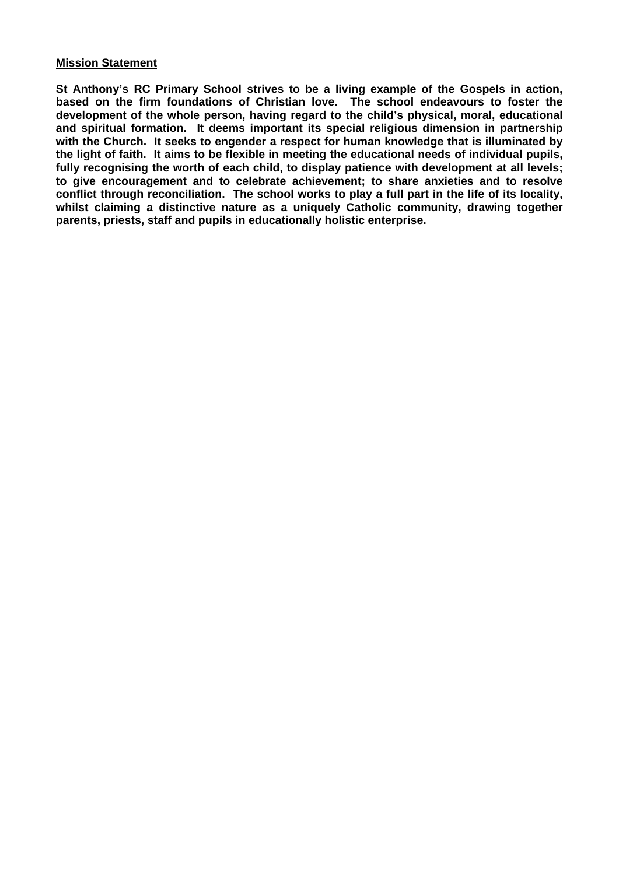## **Mission Statement**

**St Anthony's RC Primary School strives to be a living example of the Gospels in action, based on the firm foundations of Christian love. The school endeavours to foster the development of the whole person, having regard to the child's physical, moral, educational and spiritual formation. It deems important its special religious dimension in partnership with the Church. It seeks to engender a respect for human knowledge that is illuminated by the light of faith. It aims to be flexible in meeting the educational needs of individual pupils, fully recognising the worth of each child, to display patience with development at all levels; to give encouragement and to celebrate achievement; to share anxieties and to resolve conflict through reconciliation. The school works to play a full part in the life of its locality, whilst claiming a distinctive nature as a uniquely Catholic community, drawing together parents, priests, staff and pupils in educationally holistic enterprise.**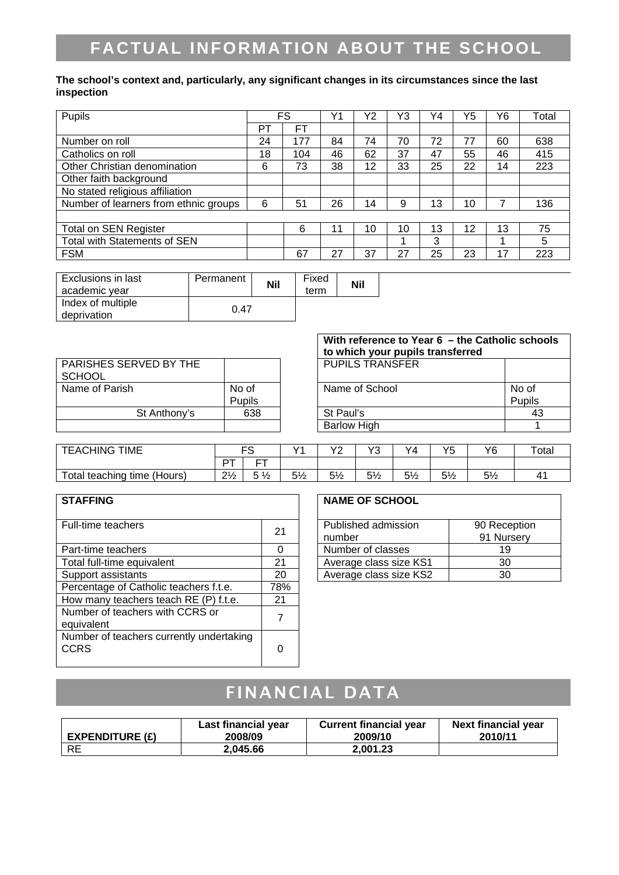# **FACTUAL INFORMATION ABOUT THE SCHOOL**

#### **The school's context and, particularly, any significant changes in its circumstances since the last inspection**

| Pupils                                |    | FS  |    | Υ2 | Y3 | Y4 | Y5 | Y6 | Total |
|---------------------------------------|----|-----|----|----|----|----|----|----|-------|
|                                       | PT | FТ  |    |    |    |    |    |    |       |
| Number on roll                        | 24 | 177 | 84 | 74 | 70 | 72 | 77 | 60 | 638   |
| Catholics on roll                     | 18 | 104 | 46 | 62 | 37 | 47 | 55 | 46 | 415   |
| Other Christian denomination          | 6  | 73  | 38 | 12 | 33 | 25 | 22 | 14 | 223   |
| Other faith background                |    |     |    |    |    |    |    |    |       |
| No stated religious affiliation       |    |     |    |    |    |    |    |    |       |
| Number of learners from ethnic groups | 6  | 51  | 26 | 14 | 9  | 13 | 10 |    | 136   |
|                                       |    |     |    |    |    |    |    |    |       |
| <b>Total on SEN Register</b>          |    | 6   |    | 10 | 10 | 13 | 12 | 13 | 75    |
| Total with Statements of SEN          |    |     |    |    |    | 3  |    |    | 5     |
| <b>FSM</b>                            |    | 67  | 27 | 37 | 27 | 25 | 23 | 17 | 223   |

| <b>Exclusions in last</b><br>academic year | Permanent | <b>Nil</b> | Fixed<br>term | <b>Nil</b> |
|--------------------------------------------|-----------|------------|---------------|------------|
| Index of multiple<br>deprivation           | 0.47      |            |               |            |

|                                         |               | With reference to Year $6$ – the Catholic schools<br>to which your pupils transferred |        |  |  |  |  |
|-----------------------------------------|---------------|---------------------------------------------------------------------------------------|--------|--|--|--|--|
| PARISHES SERVED BY THE<br><b>SCHOOL</b> |               | <b>PUPILS TRANSFER</b>                                                                |        |  |  |  |  |
| Name of Parish                          | No of         | Name of School                                                                        | No of  |  |  |  |  |
|                                         | <b>Pupils</b> |                                                                                       | Pupils |  |  |  |  |
| St Anthony's                            | 638           | St Paul's                                                                             | 43     |  |  |  |  |
|                                         |               | <b>Barlow High</b>                                                                    |        |  |  |  |  |

| <b>TEACHING</b><br><b>TIME</b>        | r c            |    | $\sqrt{4}$             | <b>\/^</b>     | $\sqrt{2}$<br>$\overline{\phantom{a}}$ | Y4         | $\epsilon$<br>∽<br>ັ | Y6            | Total |
|---------------------------------------|----------------|----|------------------------|----------------|----------------------------------------|------------|----------------------|---------------|-------|
|                                       | ⊤ם             | __ |                        |                |                                        |            |                      |               |       |
| Total.<br>time<br>(Hours)<br>teaching | $2\frac{1}{2}$ | 72 | F <sub>1</sub><br>J 72 | $5\frac{1}{2}$ | $5\frac{1}{2}$                         | г1<br>O 72 | $5\frac{1}{2}$       | $-4$<br>J / 2 | 41    |

| <b>STAFFING</b>                                         |     | <b>NAME OF SCHOOL</b>         |                    |
|---------------------------------------------------------|-----|-------------------------------|--------------------|
| Full-time teachers                                      | 21  | Published admission<br>number | 90 Rece<br>91 Nurs |
| Part-time teachers                                      | ∩   | Number of classes             | 19                 |
| Total full-time equivalent                              | 21  | Average class size KS1        | 30                 |
| Support assistants                                      | 20  | Average class size KS2        | 30                 |
| Percentage of Catholic teachers f.t.e.                  | 78% |                               |                    |
| How many teachers teach RE (P) f.t.e.                   | 21  |                               |                    |
| Number of teachers with CCRS or<br>equivalent           | 7   |                               |                    |
| Number of teachers currently undertaking<br><b>CCRS</b> | 0   |                               |                    |

### **NAME OF SCHOOL**

| Published admission    | 90 Reception |
|------------------------|--------------|
| number                 | 91 Nursery   |
| Number of classes      | 19           |
| Average class size KS1 | 30           |
| Average class size KS2 | ۹Λ           |

# FINANCIAL DATA

| EXPENDITURE $(E)$ | Last financial year | <b>Current financial year</b> | <b>Next financial year</b> |
|-------------------|---------------------|-------------------------------|----------------------------|
|                   | 2008/09             | 2009/10                       | 2010/11                    |
| <b>RE</b>         | 2.045.66            | 2.001.23                      |                            |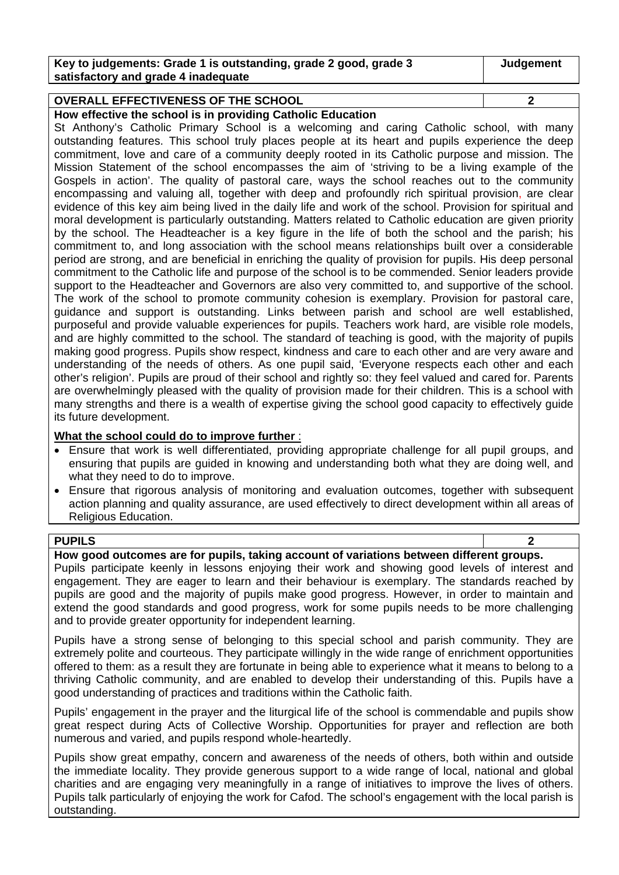| Key to judgements: Grade 1 is outstanding, grade 2 good, grade 3 | Judgement |
|------------------------------------------------------------------|-----------|
| satisfactory and grade 4 inadequate                              |           |

## **OVERALL EFFECTIVENESS OF THE SCHOOL 2**

**How effective the school is in providing Catholic Education** 

St Anthony's Catholic Primary School is a welcoming and caring Catholic school, with many outstanding features. This school truly places people at its heart and pupils experience the deep commitment, love and care of a community deeply rooted in its Catholic purpose and mission. The Mission Statement of the school encompasses the aim of 'striving to be a living example of the Gospels in action'. The quality of pastoral care, ways the school reaches out to the community encompassing and valuing all, together with deep and profoundly rich spiritual provision, are clear evidence of this key aim being lived in the daily life and work of the school. Provision for spiritual and moral development is particularly outstanding. Matters related to Catholic education are given priority by the school. The Headteacher is a key figure in the life of both the school and the parish; his commitment to, and long association with the school means relationships built over a considerable period are strong, and are beneficial in enriching the quality of provision for pupils. His deep personal commitment to the Catholic life and purpose of the school is to be commended. Senior leaders provide support to the Headteacher and Governors are also very committed to, and supportive of the school. The work of the school to promote community cohesion is exemplary. Provision for pastoral care, guidance and support is outstanding. Links between parish and school are well established, purposeful and provide valuable experiences for pupils. Teachers work hard, are visible role models, and are highly committed to the school. The standard of teaching is good, with the majority of pupils making good progress. Pupils show respect, kindness and care to each other and are very aware and understanding of the needs of others. As one pupil said, 'Everyone respects each other and each other's religion'. Pupils are proud of their school and rightly so: they feel valued and cared for. Parents are overwhelmingly pleased with the quality of provision made for their children. This is a school with many strengths and there is a wealth of expertise giving the school good capacity to effectively guide its future development.

#### **What the school could do to improve further** :

- Ensure that work is well differentiated, providing appropriate challenge for all pupil groups, and ensuring that pupils are guided in knowing and understanding both what they are doing well, and what they need to do to improve.
- Ensure that rigorous analysis of monitoring and evaluation outcomes, together with subsequent action planning and quality assurance, are used effectively to direct development within all areas of Religious Education.

## **PUPILS 2**

#### **How good outcomes are for pupils, taking account of variations between different groups.**

Pupils participate keenly in lessons enjoying their work and showing good levels of interest and engagement. They are eager to learn and their behaviour is exemplary. The standards reached by pupils are good and the majority of pupils make good progress. However, in order to maintain and extend the good standards and good progress, work for some pupils needs to be more challenging and to provide greater opportunity for independent learning.

Pupils have a strong sense of belonging to this special school and parish community. They are extremely polite and courteous. They participate willingly in the wide range of enrichment opportunities offered to them: as a result they are fortunate in being able to experience what it means to belong to a thriving Catholic community, and are enabled to develop their understanding of this. Pupils have a good understanding of practices and traditions within the Catholic faith.

Pupils' engagement in the prayer and the liturgical life of the school is commendable and pupils show great respect during Acts of Collective Worship. Opportunities for prayer and reflection are both numerous and varied, and pupils respond whole-heartedly.

Pupils show great empathy, concern and awareness of the needs of others, both within and outside the immediate locality. They provide generous support to a wide range of local, national and global charities and are engaging very meaningfully in a range of initiatives to improve the lives of others. Pupils talk particularly of enjoying the work for Cafod. The school's engagement with the local parish is outstanding.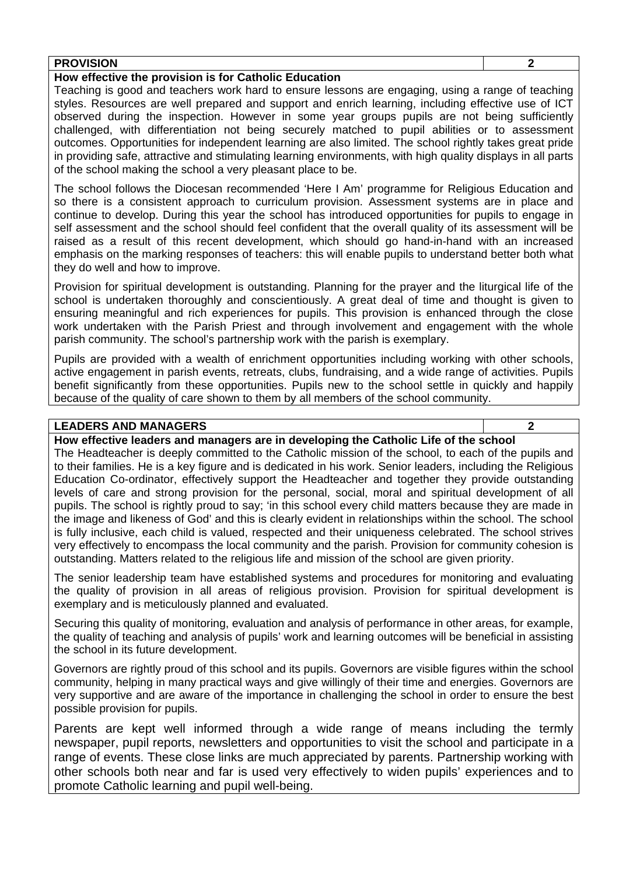| <b>PROVISION</b> |    |  |  |    |      |  |  |  |  |  |  |  |
|------------------|----|--|--|----|------|--|--|--|--|--|--|--|
| - -              | -- |  |  | __ | ____ |  |  |  |  |  |  |  |

### **How effective the provision is for Catholic Education**

Teaching is good and teachers work hard to ensure lessons are engaging, using a range of teaching styles. Resources are well prepared and support and enrich learning, including effective use of ICT observed during the inspection. However in some year groups pupils are not being sufficiently challenged, with differentiation not being securely matched to pupil abilities or to assessment outcomes. Opportunities for independent learning are also limited. The school rightly takes great pride in providing safe, attractive and stimulating learning environments, with high quality displays in all parts of the school making the school a very pleasant place to be.

The school follows the Diocesan recommended 'Here I Am' programme for Religious Education and so there is a consistent approach to curriculum provision. Assessment systems are in place and continue to develop. During this year the school has introduced opportunities for pupils to engage in self assessment and the school should feel confident that the overall quality of its assessment will be raised as a result of this recent development, which should go hand-in-hand with an increased emphasis on the marking responses of teachers: this will enable pupils to understand better both what they do well and how to improve.

Provision for spiritual development is outstanding. Planning for the prayer and the liturgical life of the school is undertaken thoroughly and conscientiously. A great deal of time and thought is given to ensuring meaningful and rich experiences for pupils. This provision is enhanced through the close work undertaken with the Parish Priest and through involvement and engagement with the whole parish community. The school's partnership work with the parish is exemplary.

Pupils are provided with a wealth of enrichment opportunities including working with other schools, active engagement in parish events, retreats, clubs, fundraising, and a wide range of activities. Pupils benefit significantly from these opportunities. Pupils new to the school settle in quickly and happily because of the quality of care shown to them by all members of the school community.

## **LEADERS AND MANAGERS 2**

**How effective leaders and managers are in developing the Catholic Life of the school** 

The Headteacher is deeply committed to the Catholic mission of the school, to each of the pupils and to their families. He is a key figure and is dedicated in his work. Senior leaders, including the Religious Education Co-ordinator, effectively support the Headteacher and together they provide outstanding levels of care and strong provision for the personal, social, moral and spiritual development of all pupils. The school is rightly proud to say; 'in this school every child matters because they are made in the image and likeness of God' and this is clearly evident in relationships within the school. The school is fully inclusive, each child is valued, respected and their uniqueness celebrated. The school strives very effectively to encompass the local community and the parish. Provision for community cohesion is outstanding. Matters related to the religious life and mission of the school are given priority.

The senior leadership team have established systems and procedures for monitoring and evaluating the quality of provision in all areas of religious provision. Provision for spiritual development is exemplary and is meticulously planned and evaluated.

Securing this quality of monitoring, evaluation and analysis of performance in other areas, for example, the quality of teaching and analysis of pupils' work and learning outcomes will be beneficial in assisting the school in its future development.

Governors are rightly proud of this school and its pupils. Governors are visible figures within the school community, helping in many practical ways and give willingly of their time and energies. Governors are very supportive and are aware of the importance in challenging the school in order to ensure the best possible provision for pupils.

Parents are kept well informed through a wide range of means including the termly newspaper, pupil reports, newsletters and opportunities to visit the school and participate in a range of events. These close links are much appreciated by parents. Partnership working with other schools both near and far is used very effectively to widen pupils' experiences and to promote Catholic learning and pupil well-being.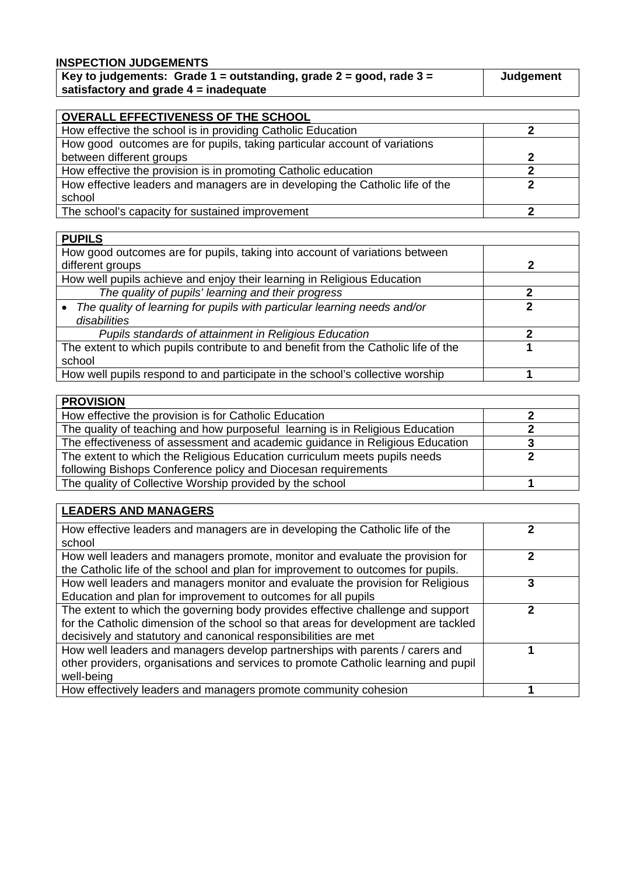## **INSPECTION JUDGEMENTS**

| Key to judgements: Grade 1 = outstanding, grade 2 = good, rade 3 = | Judgement |
|--------------------------------------------------------------------|-----------|
| satisfactory and grade $4$ = inadequate                            |           |

| OVERALL EFFECTIVENESS OF THE SCHOOL                                           |   |  |  |  |  |  |  |
|-------------------------------------------------------------------------------|---|--|--|--|--|--|--|
| How effective the school is in providing Catholic Education                   |   |  |  |  |  |  |  |
| How good outcomes are for pupils, taking particular account of variations     |   |  |  |  |  |  |  |
| between different groups                                                      | 2 |  |  |  |  |  |  |
| How effective the provision is in promoting Catholic education                |   |  |  |  |  |  |  |
| How effective leaders and managers are in developing the Catholic life of the |   |  |  |  |  |  |  |
| school                                                                        |   |  |  |  |  |  |  |
| The school's capacity for sustained improvement                               |   |  |  |  |  |  |  |

| <b>PUPILS</b>                                                                         |   |
|---------------------------------------------------------------------------------------|---|
| How good outcomes are for pupils, taking into account of variations between           |   |
| different groups                                                                      | 2 |
| How well pupils achieve and enjoy their learning in Religious Education               |   |
| The quality of pupils' learning and their progress                                    |   |
| The quality of learning for pupils with particular learning needs and/or<br>$\bullet$ |   |
| disabilities                                                                          |   |
| Pupils standards of attainment in Religious Education                                 |   |
| The extent to which pupils contribute to and benefit from the Catholic life of the    |   |
| school                                                                                |   |
| How well pupils respond to and participate in the school's collective worship         |   |

| <b>PROVISION</b>                                                              |  |
|-------------------------------------------------------------------------------|--|
| How effective the provision is for Catholic Education                         |  |
| The quality of teaching and how purposeful learning is in Religious Education |  |
| The effectiveness of assessment and academic guidance in Religious Education  |  |
| The extent to which the Religious Education curriculum meets pupils needs     |  |
| following Bishops Conference policy and Diocesan requirements                 |  |
| The quality of Collective Worship provided by the school                      |  |

| <b>LEADERS AND MANAGERS</b>                                                        |   |
|------------------------------------------------------------------------------------|---|
| How effective leaders and managers are in developing the Catholic life of the      |   |
| school                                                                             |   |
| How well leaders and managers promote, monitor and evaluate the provision for      |   |
| the Catholic life of the school and plan for improvement to outcomes for pupils.   |   |
| How well leaders and managers monitor and evaluate the provision for Religious     | 3 |
| Education and plan for improvement to outcomes for all pupils                      |   |
| The extent to which the governing body provides effective challenge and support    |   |
| for the Catholic dimension of the school so that areas for development are tackled |   |
| decisively and statutory and canonical responsibilities are met                    |   |
| How well leaders and managers develop partnerships with parents / carers and       |   |
| other providers, organisations and services to promote Catholic learning and pupil |   |
| well-being                                                                         |   |
| How effectively leaders and managers promote community cohesion                    |   |